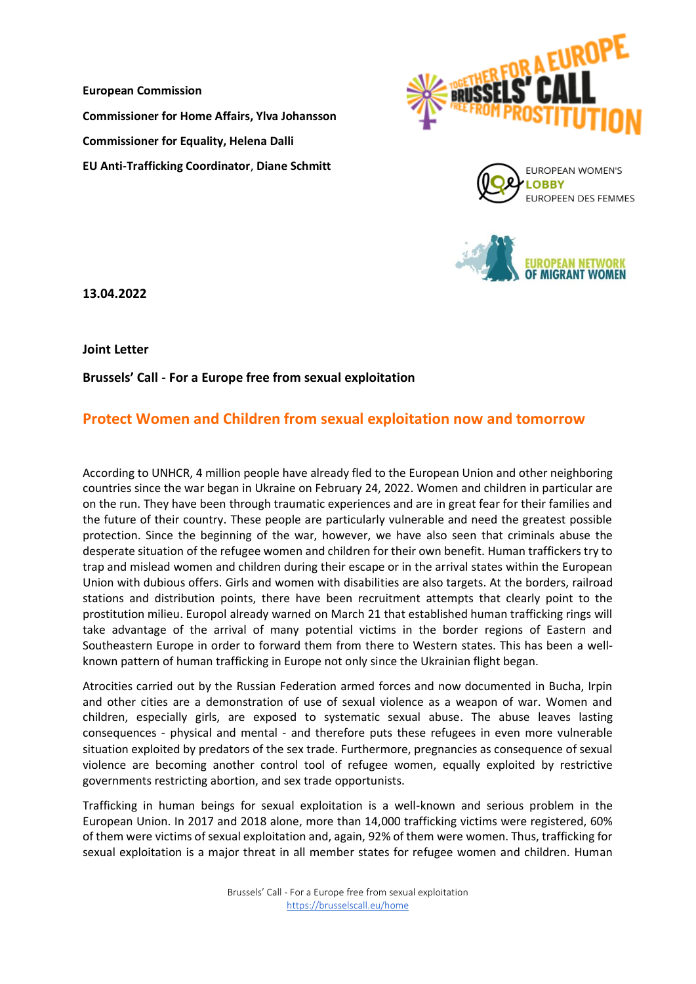**European Commission Commissioner for Home Affairs, Ylva Johansson Commissioner for Equality, Helena Dalli EU Anti-Trafficking Coordinator**, **Diane Schmitt**







**13.04.2022**

**Joint Letter** 

**Brussels' Call - For a Europe free from sexual exploitation**

## **Protect Women and Children from sexual exploitation now and tomorrow**

According to UNHCR, 4 million people have already fled to the European Union and other neighboring countries since the war began in Ukraine on February 24, 2022. Women and children in particular are on the run. They have been through traumatic experiences and are in great fear for their families and the future of their country. These people are particularly vulnerable and need the greatest possible protection. Since the beginning of the war, however, we have also seen that criminals abuse the desperate situation of the refugee women and children for their own benefit. Human traffickers try to trap and mislead women and children during their escape or in the arrival states within the European Union with dubious offers. Girls and women with disabilities are also targets. At the borders, railroad stations and distribution points, there have been recruitment attempts that clearly point to the prostitution milieu. Europol already warned on March 21 that established human trafficking rings will take advantage of the arrival of many potential victims in the border regions of Eastern and Southeastern Europe in order to forward them from there to Western states. This has been a wellknown pattern of human trafficking in Europe not only since the Ukrainian flight began.

Atrocities carried out by the Russian Federation armed forces and now documented in Bucha, Irpin and other cities are a demonstration of use of sexual violence as a weapon of war. Women and children, especially girls, are exposed to systematic sexual abuse. The abuse leaves lasting consequences - physical and mental - and therefore puts these refugees in even more vulnerable situation exploited by predators of the sex trade. Furthermore, pregnancies as consequence of sexual violence are becoming another control tool of refugee women, equally exploited by restrictive governments restricting abortion, and sex trade opportunists.

Trafficking in human beings for sexual exploitation is a well-known and serious problem in the European Union. In 2017 and 2018 alone, more than 14,000 trafficking victims were registered, 60% of them were victims of sexual exploitation and, again, 92% of them were women. Thus, trafficking for sexual exploitation is a major threat in all member states for refugee women and children. Human